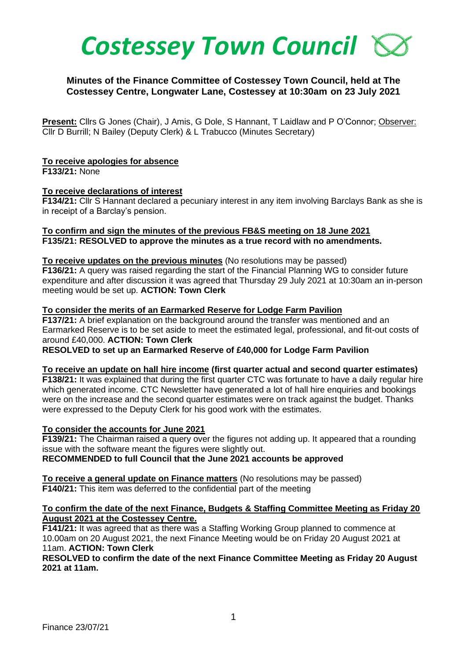

# **Minutes of the Finance Committee of Costessey Town Council, held at The Costessey Centre, Longwater Lane, Costessey at 10:30am on 23 July 2021**

**Present:** Cllrs G Jones (Chair), J Amis, G Dole, S Hannant, T Laidlaw and P O'Connor; Observer: Cllr D Burrill; N Bailey (Deputy Clerk) & L Trabucco (Minutes Secretary)

#### **To receive apologies for absence**

**F133/21:** None

#### **To receive declarations of interest**

**F134/21:** Cllr S Hannant declared a pecuniary interest in any item involving Barclays Bank as she is in receipt of a Barclay's pension.

## **To confirm and sign the minutes of the previous FB&S meeting on 18 June 2021 F135/21: RESOLVED to approve the minutes as a true record with no amendments.**

#### **To receive updates on the previous minutes** (No resolutions may be passed)

**F136/21:** A query was raised regarding the start of the Financial Planning WG to consider future expenditure and after discussion it was agreed that Thursday 29 July 2021 at 10:30am an in-person meeting would be set up. **ACTION: Town Clerk**

#### **To consider the merits of an Earmarked Reserve for Lodge Farm Pavilion**

**F137/21:** A brief explanation on the background around the transfer was mentioned and an Earmarked Reserve is to be set aside to meet the estimated legal, professional, and fit-out costs of around £40,000. **ACTION: Town Clerk**

**RESOLVED to set up an Earmarked Reserve of £40,000 for Lodge Farm Pavilion**

#### **To receive an update on hall hire income (first quarter actual and second quarter estimates)**

**F138/21:** It was explained that during the first quarter CTC was fortunate to have a daily regular hire which generated income. CTC Newsletter have generated a lot of hall hire enquiries and bookings were on the increase and the second quarter estimates were on track against the budget. Thanks were expressed to the Deputy Clerk for his good work with the estimates.

# **To consider the accounts for June 2021**

**F139/21:** The Chairman raised a query over the figures not adding up. It appeared that a rounding issue with the software meant the figures were slightly out. **RECOMMENDED to full Council that the June 2021 accounts be approved**

**To receive a general update on Finance matters** (No resolutions may be passed) **F140/21:** This item was deferred to the confidential part of the meeting

# **To confirm the date of the next Finance, Budgets & Staffing Committee Meeting as Friday 20 August 2021 at the Costessey Centre.**

**F141/21:** It was agreed that as there was a Staffing Working Group planned to commence at 10.00am on 20 August 2021, the next Finance Meeting would be on Friday 20 August 2021 at 11am. **ACTION: Town Clerk**

## **RESOLVED to confirm the date of the next Finance Committee Meeting as Friday 20 August 2021 at 11am.**